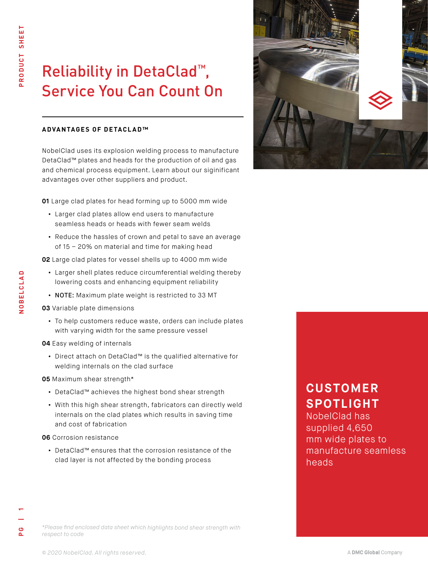# **Service You Can Count On** Reliability in DetaClad<sup>™</sup>,

### **ADVANTAGES OF DETACLAD™**

NobelClad uses its explosion welding process to manufacture DetaClad™ plates and heads for the production of oil and gas and chemical process equipment. Learn about our siginificant advantages over other suppliers and product.

**01** Large clad plates for head forming up to 5000 mm wide

- **•** Larger clad plates allow end users to manufacture seamless heads or heads with fewer seam welds
- **•** Reduce the hassles of crown and petal to save an average of 15 – 20% on material and time for making head
- **02** Large clad plates for vessel shells up to 4000 mm wide
	- **•** Larger shell plates reduce circumferential welding thereby lowering costs and enhancing equipment reliability
	- **•** NOTE: Maximum plate weight is restricted to 33 MT
- **03** Variable plate dimensions
	- **•** To help customers reduce waste, orders can include plates with varying width for the same pressure vessel
- **04** Easy welding of internals
	- **•** Direct attach on DetaClad™ is the qualified alternative for welding internals on the clad surface
- **05** Maximum shear strength\*
	- **•** DetaClad™ achieves the highest bond shear strength
	- **•** With this high shear strength, fabricators can directly weld internals on the clad plates which results in saving time and cost of fabrication
- **06** Corrosion resistance
	- **•** DetaClad™ ensures that the corrosion resistance of the clad layer is not affected by the bonding process



# **CUSTOMER SPOTLIGHT**

NobelClad has supplied 4,650 mm wide plates to manufacture seamless heads

*\*Please find enclosed data sheet which highlights bond shear strength with respect to code*